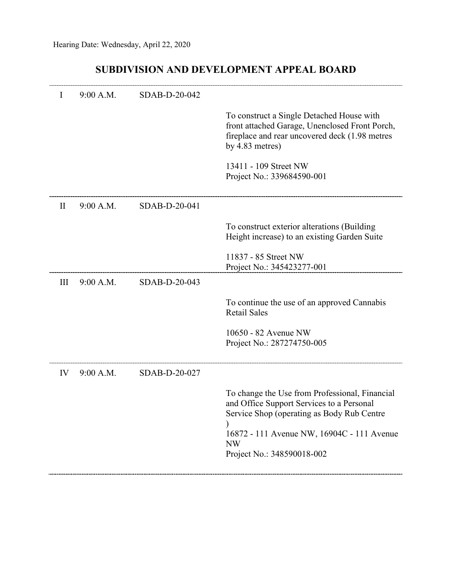## **SUBDIVISION AND DEVELOPMENT APPEAL BOARD**

| I  | 9:00 A.M. | SDAB-D-20-042 |                                                                                                                                                                                                                                    |
|----|-----------|---------------|------------------------------------------------------------------------------------------------------------------------------------------------------------------------------------------------------------------------------------|
|    |           |               | To construct a Single Detached House with<br>front attached Garage, Unenclosed Front Porch,<br>fireplace and rear uncovered deck (1.98 metres<br>by $4.83$ metres)                                                                 |
|    |           |               | 13411 - 109 Street NW<br>Project No.: 339684590-001                                                                                                                                                                                |
| H  | 9:00 A.M. | SDAB-D-20-041 |                                                                                                                                                                                                                                    |
|    |           |               | To construct exterior alterations (Building<br>Height increase) to an existing Garden Suite                                                                                                                                        |
|    |           |               | 11837 - 85 Street NW<br>Project No.: 345423277-001                                                                                                                                                                                 |
| Ш  | 9:00 A.M. | SDAB-D-20-043 |                                                                                                                                                                                                                                    |
|    |           |               | To continue the use of an approved Cannabis<br><b>Retail Sales</b>                                                                                                                                                                 |
|    |           |               | 10650 - 82 Avenue NW<br>Project No.: 287274750-005                                                                                                                                                                                 |
| IV | 9:00 A.M. | SDAB-D-20-027 |                                                                                                                                                                                                                                    |
|    |           |               | To change the Use from Professional, Financial<br>and Office Support Services to a Personal<br>Service Shop (operating as Body Rub Centre<br>16872 - 111 Avenue NW, 16904C - 111 Avenue<br><b>NW</b><br>Project No.: 348590018-002 |